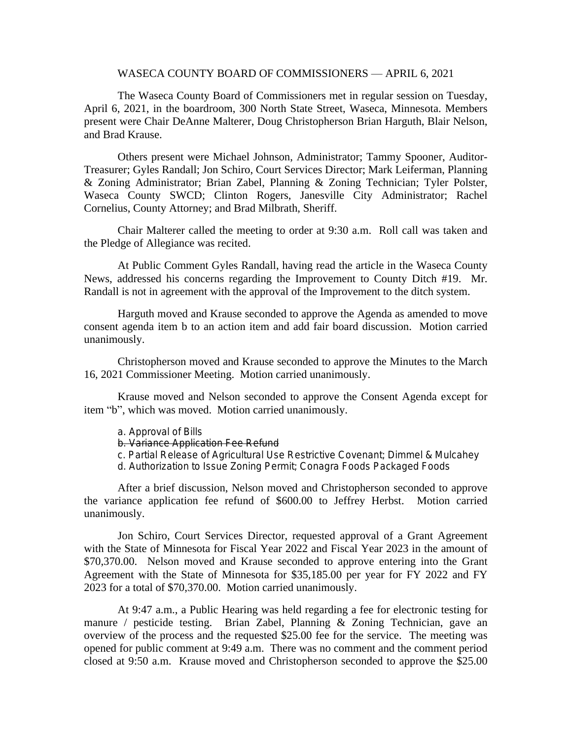## WASECA COUNTY BOARD OF COMMISSIONERS — APRIL 6, 2021

The Waseca County Board of Commissioners met in regular session on Tuesday, April 6, 2021, in the boardroom, 300 North State Street, Waseca, Minnesota. Members present were Chair DeAnne Malterer, Doug Christopherson Brian Harguth, Blair Nelson, and Brad Krause.

Others present were Michael Johnson, Administrator; Tammy Spooner, Auditor-Treasurer; Gyles Randall; Jon Schiro, Court Services Director; Mark Leiferman, Planning & Zoning Administrator; Brian Zabel, Planning & Zoning Technician; Tyler Polster, Waseca County SWCD; Clinton Rogers, Janesville City Administrator; Rachel Cornelius, County Attorney; and Brad Milbrath, Sheriff.

Chair Malterer called the meeting to order at 9:30 a.m. Roll call was taken and the Pledge of Allegiance was recited.

At Public Comment Gyles Randall, having read the article in the Waseca County News, addressed his concerns regarding the Improvement to County Ditch #19. Mr. Randall is not in agreement with the approval of the Improvement to the ditch system.

Harguth moved and Krause seconded to approve the Agenda as amended to move consent agenda item b to an action item and add fair board discussion. Motion carried unanimously.

Christopherson moved and Krause seconded to approve the Minutes to the March 16, 2021 Commissioner Meeting. Motion carried unanimously.

Krause moved and Nelson seconded to approve the Consent Agenda except for item "b", which was moved. Motion carried unanimously.

- a. Approval of Bills
- b. Variance Application Fee Refund
- c. Partial Release of Agricultural Use Restrictive Covenant; Dimmel & Mulcahey
- d. Authorization to Issue Zoning Permit; Conagra Foods Packaged Foods

After a brief discussion, Nelson moved and Christopherson seconded to approve the variance application fee refund of \$600.00 to Jeffrey Herbst. Motion carried unanimously.

Jon Schiro, Court Services Director, requested approval of a Grant Agreement with the State of Minnesota for Fiscal Year 2022 and Fiscal Year 2023 in the amount of \$70,370.00. Nelson moved and Krause seconded to approve entering into the Grant Agreement with the State of Minnesota for \$35,185.00 per year for FY 2022 and FY 2023 for a total of \$70,370.00. Motion carried unanimously.

At 9:47 a.m., a Public Hearing was held regarding a fee for electronic testing for manure / pesticide testing. Brian Zabel, Planning & Zoning Technician, gave an overview of the process and the requested \$25.00 fee for the service. The meeting was opened for public comment at 9:49 a.m. There was no comment and the comment period closed at 9:50 a.m. Krause moved and Christopherson seconded to approve the \$25.00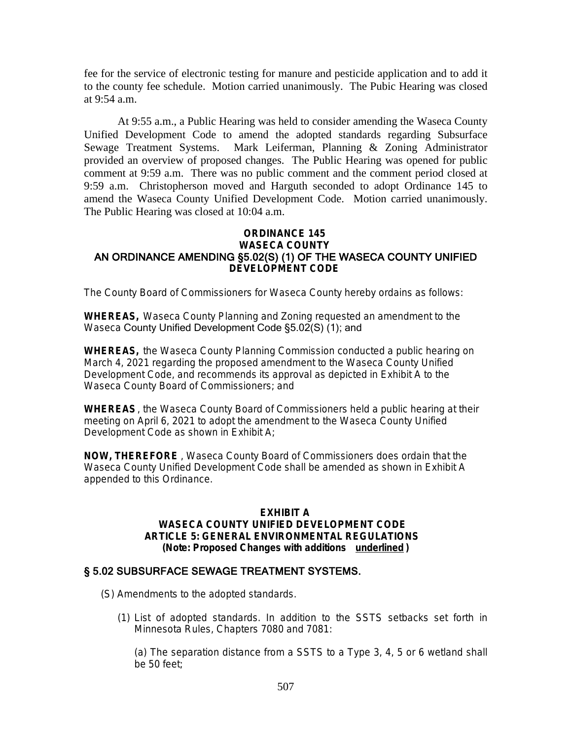fee for the service of electronic testing for manure and pesticide application and to add it to the county fee schedule. Motion carried unanimously. The Pubic Hearing was closed at 9:54 a.m.

At 9:55 a.m., a Public Hearing was held to consider amending the Waseca County Unified Development Code to amend the adopted standards regarding Subsurface Sewage Treatment Systems. Mark Leiferman, Planning & Zoning Administrator provided an overview of proposed changes. The Public Hearing was opened for public comment at 9:59 a.m. There was no public comment and the comment period closed at 9:59 a.m. Christopherson moved and Harguth seconded to adopt Ordinance 145 to amend the Waseca County Unified Development Code. Motion carried unanimously. The Public Hearing was closed at 10:04 a.m.

## **ORDINANCE 145 WASECA COUNTY** AN ORDINANCE AMENDING §5.02(S) (1) OF THE WASECA COUNTY UNIFIED **DEVELOPMENT CODE**

The County Board of Commissioners for Waseca County hereby ordains as follows:

**WHEREAS,** Waseca County Planning and Zoning requested an amendment to the Waseca County Unified Development Code §5.02(S) (1); and

**WHEREAS,** the Waseca County Planning Commission conducted a public hearing on March 4, 2021 regarding the proposed amendment to the Waseca County Unified Development Code, and recommends its approval as depicted in Exhibit A to the Waseca County Board of Commissioners; and

**WHEREAS**, the Waseca County Board of Commissioners held a public hearing at their meeting on April 6, 2021 to adopt the amendment to the Waseca County Unified Development Code as shown in Exhibit A;

**NOW, THEREFORE** , Waseca County Board of Commissioners does ordain that the Waseca County Unified Development Code shall be amended as shown in Exhibit A appended to this Ordinance.

## **EXHIBIT A WASECA COUNTY UNIFIED DEVELOPMENT CODE ARTICLE 5: GENERAL ENVIRONMENTAL REGULATIONS (Note: Proposed Changes with additions underlined )**

## § 5.02 SUBSURFACE SEWAGE TREATMENT SYSTEMS.

- (S) *Amendments to the adopted standards*.
	- (1) *List of adopted standards*. In addition to the SSTS setbacks set forth in Minnesota Rules, Chapters 7080 and 7081:

(a) The separation distance from a SSTS to a Type 3, 4, 5 or 6 wetland shall be 50 feet;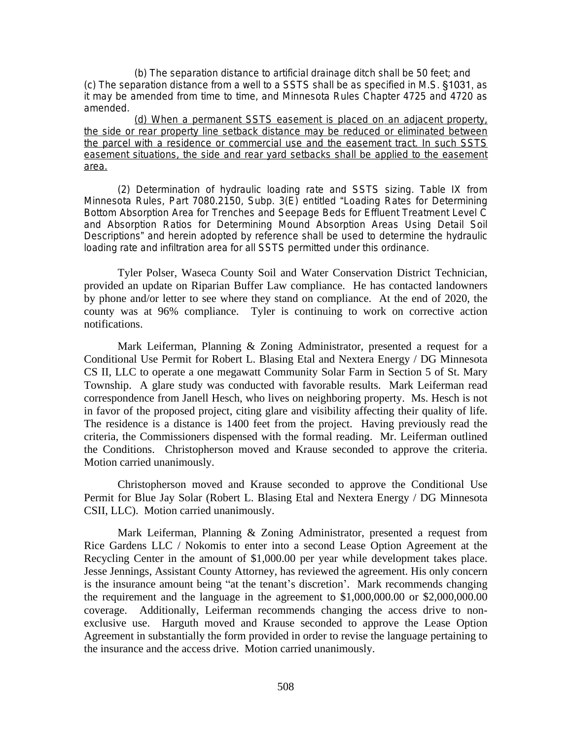(b) The separation distance to artificial drainage ditch shall be 50 feet; and (c) The separation distance from a well to a SSTS shall be as specified in M.S. §1031, as it may be amended from time to time, and Minnesota Rules Chapter 4725 and 4720 as amended.

(d) When a permanent SSTS easement is placed on an adjacent property, the side or rear property line setback distance may be reduced or eliminated between the parcel with a residence or commercial use and the easement tract. In such SSTS easement situations, the side and rear yard setbacks shall be applied to the easement area.

(2) *Determination of hydraulic loading rate and SSTS sizing*. Table IX from Minnesota Rules, Part 7080.2150, Subp. 3(E) entitled "Loading Rates for Determining Bottom Absorption Area for Trenches and Seepage Beds for Effluent Treatment Level C and Absorption Ratios for Determining Mound Absorption Areas Using Detail Soil Descriptions" and herein adopted by reference shall be used to determine the hydraulic loading rate and infiltration area for all SSTS permitted under this ordinance.

Tyler Polser, Waseca County Soil and Water Conservation District Technician, provided an update on Riparian Buffer Law compliance. He has contacted landowners by phone and/or letter to see where they stand on compliance. At the end of 2020, the county was at 96% compliance. Tyler is continuing to work on corrective action notifications.

Mark Leiferman, Planning & Zoning Administrator, presented a request for a Conditional Use Permit for Robert L. Blasing Etal and Nextera Energy / DG Minnesota CS II, LLC to operate a one megawatt Community Solar Farm in Section 5 of St. Mary Township. A glare study was conducted with favorable results. Mark Leiferman read correspondence from Janell Hesch, who lives on neighboring property. Ms. Hesch is not in favor of the proposed project, citing glare and visibility affecting their quality of life. The residence is a distance is 1400 feet from the project. Having previously read the criteria, the Commissioners dispensed with the formal reading. Mr. Leiferman outlined the Conditions. Christopherson moved and Krause seconded to approve the criteria. Motion carried unanimously.

Christopherson moved and Krause seconded to approve the Conditional Use Permit for Blue Jay Solar (Robert L. Blasing Etal and Nextera Energy / DG Minnesota CSII, LLC). Motion carried unanimously.

Mark Leiferman, Planning & Zoning Administrator, presented a request from Rice Gardens LLC / Nokomis to enter into a second Lease Option Agreement at the Recycling Center in the amount of \$1,000.00 per year while development takes place. Jesse Jennings, Assistant County Attorney, has reviewed the agreement. His only concern is the insurance amount being "at the tenant's discretion'. Mark recommends changing the requirement and the language in the agreement to \$1,000,000.00 or \$2,000,000.00 coverage. Additionally, Leiferman recommends changing the access drive to nonexclusive use. Harguth moved and Krause seconded to approve the Lease Option Agreement in substantially the form provided in order to revise the language pertaining to the insurance and the access drive. Motion carried unanimously.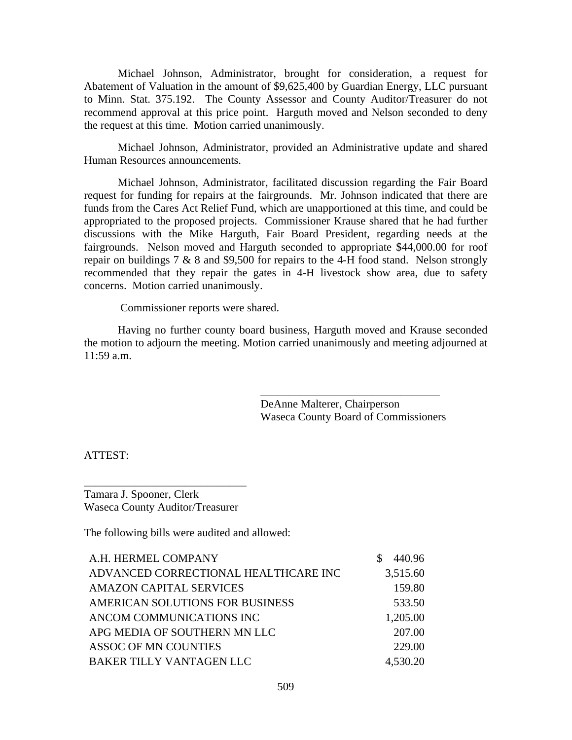Michael Johnson, Administrator, brought for consideration, a request for Abatement of Valuation in the amount of \$9,625,400 by Guardian Energy, LLC pursuant to Minn. Stat. 375.192. The County Assessor and County Auditor/Treasurer do not recommend approval at this price point. Harguth moved and Nelson seconded to deny the request at this time. Motion carried unanimously.

Michael Johnson, Administrator, provided an Administrative update and shared Human Resources announcements.

Michael Johnson, Administrator, facilitated discussion regarding the Fair Board request for funding for repairs at the fairgrounds. Mr. Johnson indicated that there are funds from the Cares Act Relief Fund, which are unapportioned at this time, and could be appropriated to the proposed projects. Commissioner Krause shared that he had further discussions with the Mike Harguth, Fair Board President, regarding needs at the fairgrounds. Nelson moved and Harguth seconded to appropriate \$44,000.00 for roof repair on buildings  $7 \& 8$  and \$9,500 for repairs to the 4-H food stand. Nelson strongly recommended that they repair the gates in 4-H livestock show area, due to safety concerns. Motion carried unanimously.

Commissioner reports were shared.

Having no further county board business, Harguth moved and Krause seconded the motion to adjourn the meeting. Motion carried unanimously and meeting adjourned at 11:59 a.m.

> DeAnne Malterer, Chairperson Waseca County Board of Commissioners

\_\_\_\_\_\_\_\_\_\_\_\_\_\_\_\_\_\_\_\_\_\_\_\_\_\_\_\_\_\_\_\_

ATTEST:

Tamara J. Spooner, Clerk Waseca County Auditor/Treasurer

\_\_\_\_\_\_\_\_\_\_\_\_\_\_\_\_\_\_\_\_\_\_\_\_\_\_\_\_\_

The following bills were audited and allowed:

| A.H. HERMEL COMPANY                  | 440.96   |
|--------------------------------------|----------|
| ADVANCED CORRECTIONAL HEALTHCARE INC | 3,515.60 |
| <b>AMAZON CAPITAL SERVICES</b>       | 159.80   |
| AMERICAN SOLUTIONS FOR BUSINESS      | 533.50   |
| ANCOM COMMUNICATIONS INC             | 1,205.00 |
| APG MEDIA OF SOUTHERN MN LLC         | 207.00   |
| ASSOC OF MN COUNTIES                 | 229.00   |
| BAKER TILLY VANTAGEN LLC             | 4,530.20 |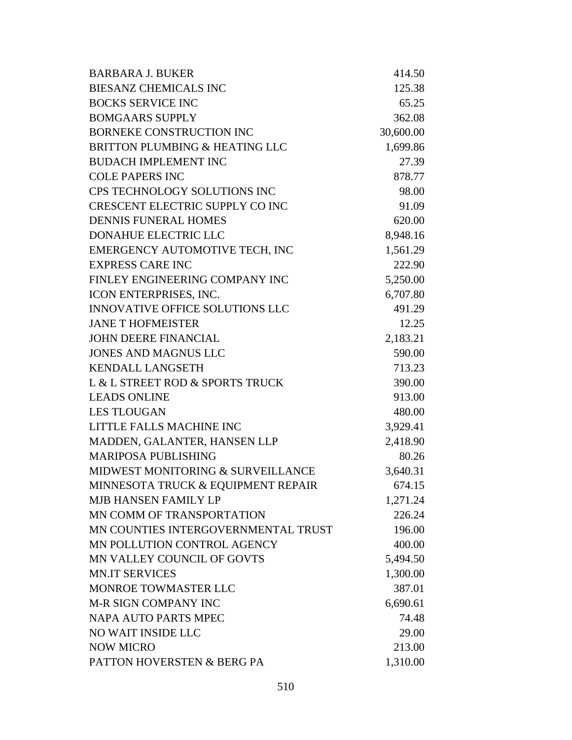| <b>BARBARA J. BUKER</b>                | 414.50    |
|----------------------------------------|-----------|
| <b>BIESANZ CHEMICALS INC</b>           | 125.38    |
| <b>BOCKS SERVICE INC</b>               | 65.25     |
| <b>BOMGAARS SUPPLY</b>                 | 362.08    |
| <b>BORNEKE CONSTRUCTION INC</b>        | 30,600.00 |
| BRITTON PLUMBING & HEATING LLC         | 1,699.86  |
| <b>BUDACH IMPLEMENT INC</b>            | 27.39     |
| <b>COLE PAPERS INC</b>                 | 878.77    |
| CPS TECHNOLOGY SOLUTIONS INC           | 98.00     |
| CRESCENT ELECTRIC SUPPLY CO INC        | 91.09     |
| <b>DENNIS FUNERAL HOMES</b>            | 620.00    |
| <b>DONAHUE ELECTRIC LLC</b>            | 8,948.16  |
| EMERGENCY AUTOMOTIVE TECH, INC         | 1,561.29  |
| <b>EXPRESS CARE INC</b>                | 222.90    |
| FINLEY ENGINEERING COMPANY INC         | 5,250.00  |
| ICON ENTERPRISES, INC.                 | 6,707.80  |
| <b>INNOVATIVE OFFICE SOLUTIONS LLC</b> | 491.29    |
| <b>JANE T HOFMEISTER</b>               | 12.25     |
| <b>JOHN DEERE FINANCIAL</b>            | 2,183.21  |
| <b>JONES AND MAGNUS LLC</b>            | 590.00    |
| <b>KENDALL LANGSETH</b>                | 713.23    |
| L & L STREET ROD & SPORTS TRUCK        | 390.00    |
| <b>LEADS ONLINE</b>                    | 913.00    |
| <b>LES TLOUGAN</b>                     | 480.00    |
| LITTLE FALLS MACHINE INC               | 3,929.41  |
| MADDEN, GALANTER, HANSEN LLP           | 2,418.90  |
| <b>MARIPOSA PUBLISHING</b>             | 80.26     |
| MIDWEST MONITORING & SURVEILLANCE      | 3,640.31  |
| MINNESOTA TRUCK & EQUIPMENT REPAIR     | 674.15    |
| <b>MJB HANSEN FAMILY LP</b>            | 1,271.24  |
| MN COMM OF TRANSPORTATION              | 226.24    |
| MN COUNTIES INTERGOVERNMENTAL TRUST    | 196.00    |
| MN POLLUTION CONTROL AGENCY            | 400.00    |
| MN VALLEY COUNCIL OF GOVTS             | 5,494.50  |
| <b>MN.IT SERVICES</b>                  | 1,300.00  |
| MONROE TOWMASTER LLC                   | 387.01    |
| <b>M-R SIGN COMPANY INC</b>            | 6,690.61  |
| <b>NAPA AUTO PARTS MPEC</b>            | 74.48     |
| NO WAIT INSIDE LLC                     | 29.00     |
| <b>NOW MICRO</b>                       | 213.00    |
| PATTON HOVERSTEN & BERG PA             | 1,310.00  |